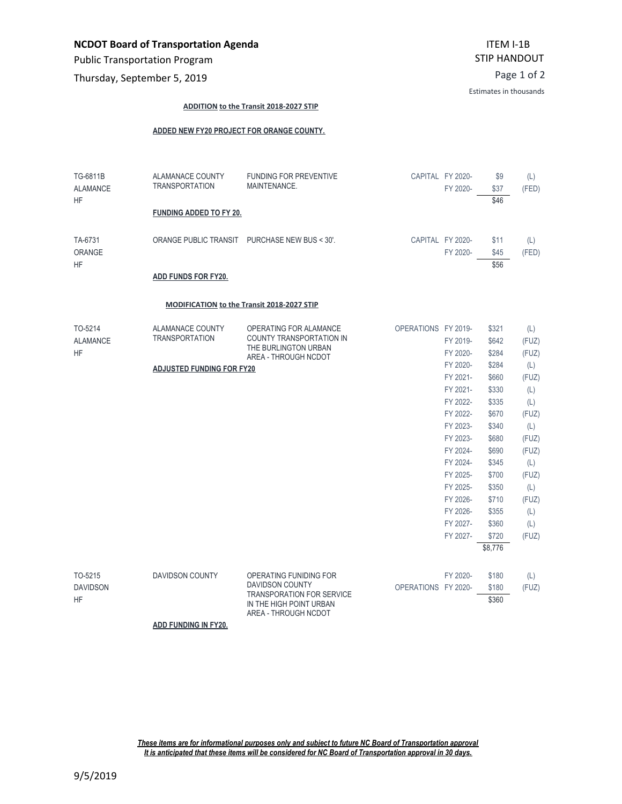Public Transportation Program

Page 1 of 2 Thursday, September 5, 2019

Estimates in thousands

## **ADDITION to the Transit 2018-2027 STIP**

## **ADDED NEW FY20 PROJECT FOR ORANGE COUNTY.**

| TG-6811B<br><b>ALAMANCE</b><br><b>HF</b> | <b>ALAMANACE COUNTY</b><br><b>TRANSPORTATION</b><br><b>FUNDING ADDED TO FY 20.</b> | <b>FUNDING FOR PREVENTIVE</b><br>MAINTENANCE.                                                                                           |                     | CAPITAL FY 2020-<br>FY 2020- | \$9<br>\$37<br>\$46  | (L)<br>(FED) |
|------------------------------------------|------------------------------------------------------------------------------------|-----------------------------------------------------------------------------------------------------------------------------------------|---------------------|------------------------------|----------------------|--------------|
| TA-6731<br>ORANGE<br><b>HF</b>           | ADD FUNDS FOR FY20.                                                                | ORANGE PUBLIC TRANSIT PURCHASE NEW BUS < 30'.                                                                                           |                     | CAPITAL FY 2020-<br>FY 2020- | \$11<br>\$45<br>\$56 | (L)<br>(FED) |
|                                          | MODIFICATION to the Transit 2018-2027 STIP                                         |                                                                                                                                         |                     |                              |                      |              |
| TO-5214                                  | ALAMANACE COUNTY                                                                   | OPERATING FOR ALAMANCE                                                                                                                  | OPERATIONS FY 2019- |                              | \$321                | (L)          |
| <b>ALAMANCE</b><br><b>HF</b>             | <b>TRANSPORTATION</b>                                                              | <b>COUNTY TRANSPORTATION IN</b><br>THE BURLINGTON URBAN                                                                                 |                     | FY 2019-                     | \$642                | (FUZ)        |
|                                          |                                                                                    | AREA - THROUGH NCDOT                                                                                                                    |                     | FY 2020-                     | \$284                | (FUZ)        |
|                                          | <b>ADJUSTED FUNDING FOR FY20</b>                                                   |                                                                                                                                         |                     | FY 2020-                     | \$284                | (L)          |
|                                          |                                                                                    |                                                                                                                                         |                     | FY 2021-                     | \$660                | (FUZ)        |
|                                          |                                                                                    |                                                                                                                                         |                     | FY 2021-                     | \$330                | (L)          |
|                                          |                                                                                    |                                                                                                                                         |                     | FY 2022-                     | \$335                | (L)          |
|                                          |                                                                                    |                                                                                                                                         |                     | FY 2022-                     | \$670                | (FUZ)        |
|                                          |                                                                                    |                                                                                                                                         |                     | FY 2023-                     | \$340                | (L)          |
|                                          |                                                                                    |                                                                                                                                         |                     | FY 2023-                     | \$680<br>\$690       | (FUZ)        |
|                                          |                                                                                    |                                                                                                                                         |                     | FY 2024-<br>FY 2024-         | \$345                | (FUZ)<br>(L) |
|                                          |                                                                                    |                                                                                                                                         |                     | FY 2025-                     | \$700                | (FUZ)        |
|                                          |                                                                                    |                                                                                                                                         |                     | FY 2025-                     | \$350                | (L)          |
|                                          |                                                                                    |                                                                                                                                         |                     | FY 2026-                     | \$710                | (FUZ)        |
|                                          |                                                                                    |                                                                                                                                         |                     | FY 2026-                     | \$355                | (L)          |
|                                          |                                                                                    |                                                                                                                                         |                     | FY 2027-                     | \$360                | (L)          |
|                                          |                                                                                    |                                                                                                                                         |                     | FY 2027-                     | \$720                | (FUZ)        |
|                                          |                                                                                    |                                                                                                                                         |                     |                              | \$8,776              |              |
| TO-5215<br><b>DAVIDSON</b><br><b>HF</b>  | <b>DAVIDSON COUNTY</b>                                                             | OPERATING FUNIDING FOR<br><b>DAVIDSON COUNTY</b><br><b>TRANSPORATION FOR SERVICE</b><br>IN THE HIGH POINT URBAN<br>AREA - THROUGH NCDOT |                     | FY 2020-                     | \$180                | (L)          |
|                                          |                                                                                    |                                                                                                                                         | OPERATIONS FY 2020- |                              | \$180                | (FUZ)        |
|                                          |                                                                                    |                                                                                                                                         |                     |                              | \$360                |              |

**ADD FUNDING IN FY20.**

*These items are for informational purposes only and subject to future NC Board of Transportation approval It is anticipated that these items will be considered for NC Board of Transportation approval in 30 days.*